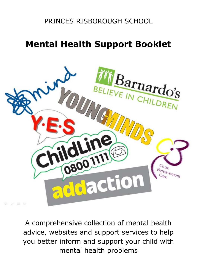# PRINCES RISBOROUGH SCHOOL

# **Mental Health Support Booklet**



A comprehensive collection of mental health advice, websites and support services to help you better inform and support your child with mental health problems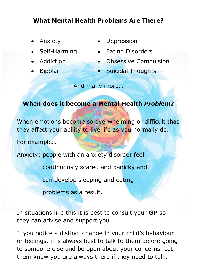# **What Mental Health Problems Are There?**

- 
- 
- 
- 
- Anxiety **·** Depression
- Self-Harming Eating Disorders
	- Addiction Obsessive Compulsion
	- Bipolar **Galacter Guicidal Thoughts**

And many more…

### **When does it become a Mental Health** *Problem***?**

When emotions become so overwhelming or difficult that they affect your ability to live life as you normally do.

For example…

Anxiety: people with an anxiety disorder feel

continuously scared and panicky and

can develop sleeping and eating

problems as a result.

In situations like this it is best to consult your **GP** so they can advise and support you.

If you notice a distinct change in your child's behaviour or feelings, it is always best to talk to them before going to someone else and be open about your concerns. Let them know you are always there if they need to talk.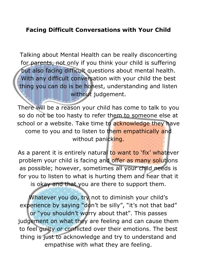## **Facing Difficult Conversations with Your Child**

Talking about Mental Health can be really disconcerting for parents, not only if you think your child is suffering but also facing difficult questions about mental health. With any difficult conversation with your child the best thing you can do is be honest, understanding and listen without judgement.

There will be a reason your child has come to talk to you so do not be too hasty to refer them to someone else at school or a website. Take time to acknowledge they have come to you and to listen to them empathically and without panicking.

As a parent it is entirely natural to want to 'fix' whatever problem your child is facing and offer as many solutions as possible; however, sometimes all your child needs is for you to listen to what is hurting them and hear that it is okay and that you are there to support them.

Whatever you do, try not to diminish your child's experience by saying "don't be silly", "it's not that bad" or "you shouldn't worry about that". This passes judgement on what they are feeling and can cause them to feel guilty or conflicted over their emotions. The best thing is just to acknowledge and try to understand and empathise with what they are feeling.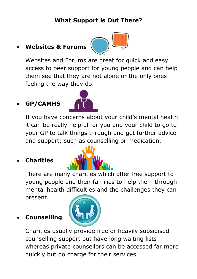# **What Support is Out There?**

# **Websites & Forums**



Websites and Forums are great for quick and easy access to peer support for young people and can help them see that they are not alone or the only ones feeling the way they do.

# **GP/CAMHS**



If you have concerns about your child's mental health it can be really helpful for you and your child to go to your GP to talk things through and get further advice and support; such as counselling or medication.

# **Charities**

There are many charities which offer free support to young people and their families to help them through mental health difficulties and the challenges they can present.

### **Counselling**



Charities usually provide free or heavily subsidised counselling support but have long waiting lists whereas private counsellors can be accessed far more quickly but do charge for their services.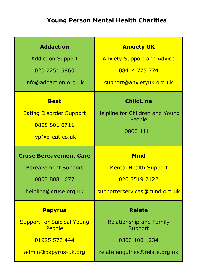# **Young Person Mental Health Charities**

| <b>Addaction</b>               | <b>Anxiety UK</b>                 |
|--------------------------------|-----------------------------------|
| <b>Addiction Support</b>       | <b>Anxiety Support and Advice</b> |
| 020 7251 5860                  | 08444 775 774                     |
| info@addaction.org.uk          | support@anxietyuk.org.uk          |
| <b>Beat</b>                    | <b>ChildLine</b>                  |
| <b>Eating Disorder Support</b> | Helpline for Children and Young   |
| 0808 801 0711                  | People                            |
| fyp@b-eat.co.uk                | 0800 1111                         |
|                                |                                   |
| <b>Cruse Bereavement Care</b>  | <b>Mind</b>                       |
| <b>Bereavement Support</b>     | <b>Mental Health Support</b>      |
| 0808 808 1677                  | 020 8519 2122                     |
| helpline@cruse.org.uk          | supporterservices@mind.org.uk     |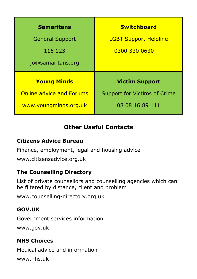| <b>Samaritans</b>               | <b>Switchboard</b>           |
|---------------------------------|------------------------------|
| <b>General Support</b>          | <b>LGBT Support Helpline</b> |
| 116 123                         | 0300 330 0630                |
| jo@samaritans.org               |                              |
| <b>Young Minds</b>              | <b>Victim Support</b>        |
| <b>Online advice and Forums</b> | Support for Victims of Crime |
| www.youngminds.org.uk           | 08 08 16 89 111              |

# **Other Useful Contacts**

### **Citizens Advice Bureau**

Finance, employment, legal and housing advice

www.citizensadvice.org.uk

### **The Counselling Directory**

List of private counsellors and counselling agencies which can be filtered by distance, client and problem

www.counselling-directory.org.uk

### **GOV.UK**

Government services information www.gov.uk

### **NHS Choices**

Medical advice and information www.nhs.uk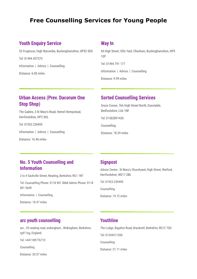### **Free Counselling Services for Young People**

#### **Youth Enquiry Service**

52 Frogmoor, High Wycombe, Buckinghamshire, HP52 5DG

Tel: 01494 437373 Information | Advice | Counselling Distance: 6.85 miles

#### **Way In**

60 High Street, Sills Yard, Chesham, Buckinghamshire, HP5 1FP

Tel: 01494 791 177

Information | Advice | Counselling

Distance: 9.99 miles

#### **Urban Access (Prev. Dacorum One Stop Shop)**

The Gables, 3 St Mary's Road, Hemel Hempstead, Hertfordshire, HP2 5HL

Tel: 01923 239495

Information | Advice | Counselling

Distance: 16.46 miles

#### **Sorted Counselling Services**

Grove Corner, 76A High Street North, Dunstable, Bedfordshire, LU6 1NF

Tel: 01582891435

Counselling

Distance: 18.39 miles

#### **No. 5 Youth Counselling and Information**

2 to 4 Sackville Street, Reading, Berkshire, RG1 1NT Tel: Counselling Phone: 0118 901 5668 Admin Phone: 0118 901 5649 Information | Counselling

Distance: 18.47 miles

#### **Signpost**

Advice Centre . St Mary's Churchyard, High Street, Watford, Hertfordshire, WD17 2BF

Tel: 01923 239495

Counselling

Distance: 19.72 miles

#### arc youth counselling

arc, 35 reading road, wokingham., Wokingham, Berkshire, rg411eg, England

Tel: +441189776710

Counselling

Distance: 20.57 miles

#### **Youthline**

The Lodge, Bagshot Road, Bracknell, Berkshire, RG12 7QS Tel: 01344311200 Counselling Distance: 21.11 miles